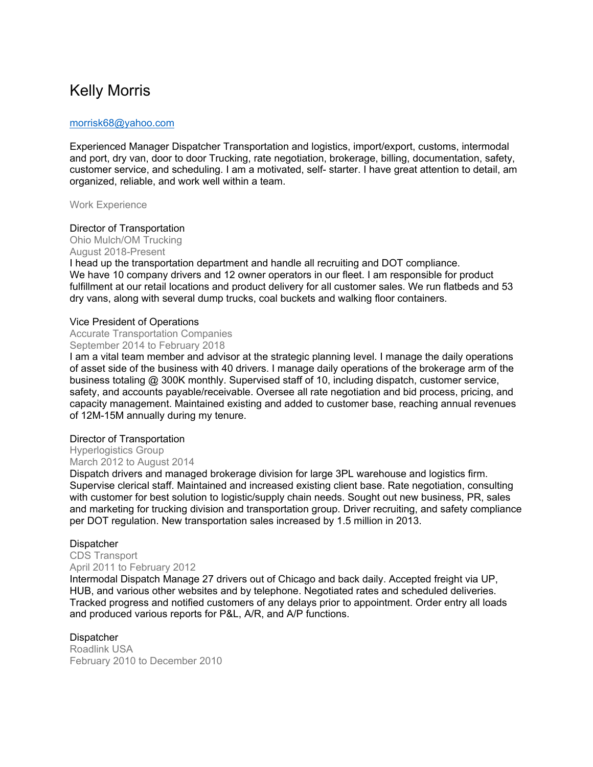# Kelly Morris

### morrisk68@yahoo.com

Experienced Manager Dispatcher Transportation and logistics, import/export, customs, intermodal and port, dry van, door to door Trucking, rate negotiation, brokerage, billing, documentation, safety, customer service, and scheduling. I am a motivated, self- starter. I have great attention to detail, am organized, reliable, and work well within a team.

Work Experience

#### Director of Transportation

Ohio Mulch/OM Trucking

August 2018-Present

I head up the transportation department and handle all recruiting and DOT compliance. We have 10 company drivers and 12 owner operators in our fleet. I am responsible for product fulfillment at our retail locations and product delivery for all customer sales. We run flatbeds and 53 dry vans, along with several dump trucks, coal buckets and walking floor containers.

### Vice President of Operations

Accurate Transportation Companies September 2014 to February 2018

I am a vital team member and advisor at the strategic planning level. I manage the daily operations of asset side of the business with 40 drivers. I manage daily operations of the brokerage arm of the business totaling @ 300K monthly. Supervised staff of 10, including dispatch, customer service, safety, and accounts payable/receivable. Oversee all rate negotiation and bid process, pricing, and capacity management. Maintained existing and added to customer base, reaching annual revenues of 12M-15M annually during my tenure.

### Director of Transportation

Hyperlogistics Group March 2012 to August 2014

Dispatch drivers and managed brokerage division for large 3PL warehouse and logistics firm. Supervise clerical staff. Maintained and increased existing client base. Rate negotiation, consulting with customer for best solution to logistic/supply chain needs. Sought out new business, PR, sales and marketing for trucking division and transportation group. Driver recruiting, and safety compliance per DOT regulation. New transportation sales increased by 1.5 million in 2013.

### Dispatcher

CDS Transport April 2011 to February 2012

Intermodal Dispatch Manage 27 drivers out of Chicago and back daily. Accepted freight via UP, HUB, and various other websites and by telephone. Negotiated rates and scheduled deliveries. Tracked progress and notified customers of any delays prior to appointment. Order entry all loads and produced various reports for P&L, A/R, and A/P functions.

### Dispatcher

Roadlink USA February 2010 to December 2010